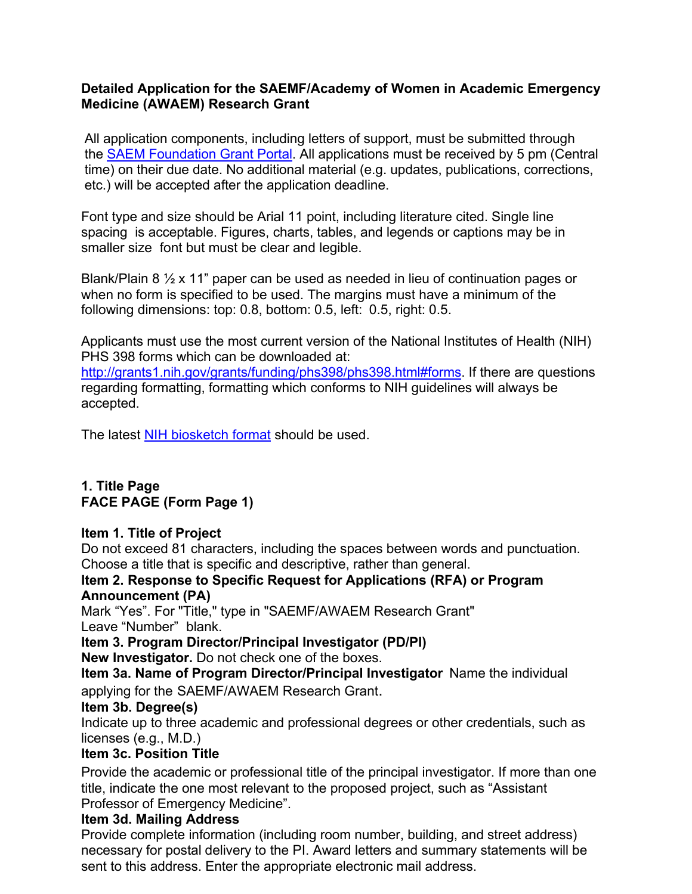# **Detailed Application for the SAEMF/Academy of Women in Academic Emergency Medicine (AWAEM) Research Grant**

All application components, including letters of support, must be submitted through the SAEM Foundation Grant Portal. All applications must be received by 5 pm (Central time) on their due date. No additional material (e.g. updates, publications, corrections, etc.) will be accepted after the application deadline.

Font type and size should be Arial 11 point, including literature cited. Single line spacing is acceptable. Figures, charts, tables, and legends or captions may be in smaller size font but must be clear and legible.

Blank/Plain 8 ½ x 11" paper can be used as needed in lieu of continuation pages or when no form is specified to be used. The margins must have a minimum of the following dimensions: top: 0.8, bottom: 0.5, left: 0.5, right: 0.5.

Applicants must use the most current version of the National Institutes of Health (NIH) PHS 398 forms which can be downloaded at:

http://grants1.nih.gov/grants/funding/phs398/phs398.html#forms. If there are questions regarding formatting, formatting which conforms to NIH guidelines will always be accepted.

The latest NIH biosketch format should be used.

# **1. Title Page FACE PAGE (Form Page 1)**

#### **Item 1. Title of Project**

Do not exceed 81 characters, including the spaces between words and punctuation. Choose a title that is specific and descriptive, rather than general.

#### **Item 2. Response to Specific Request for Applications (RFA) or Program Announcement (PA)**

Mark "Yes". For "Title," type in "SAEMF/AWAEM Research Grant" Leave "Number" blank.

**Item 3. Program Director/Principal Investigator (PD/PI)**

**New Investigator.** Do not check one of the boxes.

**Item 3a. Name of Program Director/Principal Investigator** Name the individual applying for the SAEMF/AWAEM Research Grant.

# **Item 3b. Degree(s)**

Indicate up to three academic and professional degrees or other credentials, such as licenses (e.g., M.D.)

# **Item 3c. Position Title**

Provide the academic or professional title of the principal investigator. If more than one title, indicate the one most relevant to the proposed project, such as "Assistant Professor of Emergency Medicine".

# **Item 3d. Mailing Address**

Provide complete information (including room number, building, and street address) necessary for postal delivery to the PI. Award letters and summary statements will be sent to this address. Enter the appropriate electronic mail address.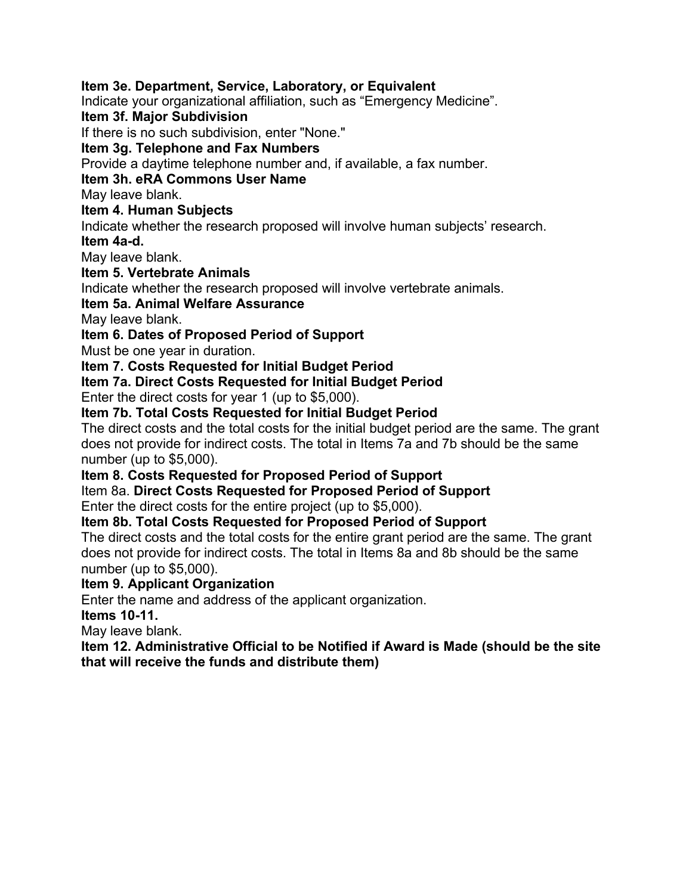#### **Item 3e. Department, Service, Laboratory, or Equivalent**

Indicate your organizational affiliation, such as "Emergency Medicine".

#### **Item 3f. Major Subdivision**

If there is no such subdivision, enter "None."

#### **Item 3g. Telephone and Fax Numbers**

Provide a daytime telephone number and, if available, a fax number.

# **Item 3h. eRA Commons User Name**

May leave blank.

#### **Item 4. Human Subjects**

Indicate whether the research proposed will involve human subjects' research. **Item 4a-d.**

May leave blank.

#### **Item 5. Vertebrate Animals**

Indicate whether the research proposed will involve vertebrate animals.

### **Item 5a. Animal Welfare Assurance**

May leave blank.

### **Item 6. Dates of Proposed Period of Support**

Must be one year in duration.

### **Item 7. Costs Requested for Initial Budget Period**

# **Item 7a. Direct Costs Requested for Initial Budget Period**

Enter the direct costs for year 1 (up to \$5,000).

# **Item 7b. Total Costs Requested for Initial Budget Period**

The direct costs and the total costs for the initial budget period are the same. The grant does not provide for indirect costs. The total in Items 7a and 7b should be the same number (up to \$5,000).

#### **Item 8. Costs Requested for Proposed Period of Support**

# Item 8a. **Direct Costs Requested for Proposed Period of Support**

Enter the direct costs for the entire project (up to \$5,000).

### **Item 8b. Total Costs Requested for Proposed Period of Support**

The direct costs and the total costs for the entire grant period are the same. The grant does not provide for indirect costs. The total in Items 8a and 8b should be the same number (up to \$5,000).

#### **Item 9. Applicant Organization**

Enter the name and address of the applicant organization.

#### **Items 10-11.**

May leave blank.

### **Item 12. Administrative Official to be Notified if Award is Made (should be the site that will receive the funds and distribute them)**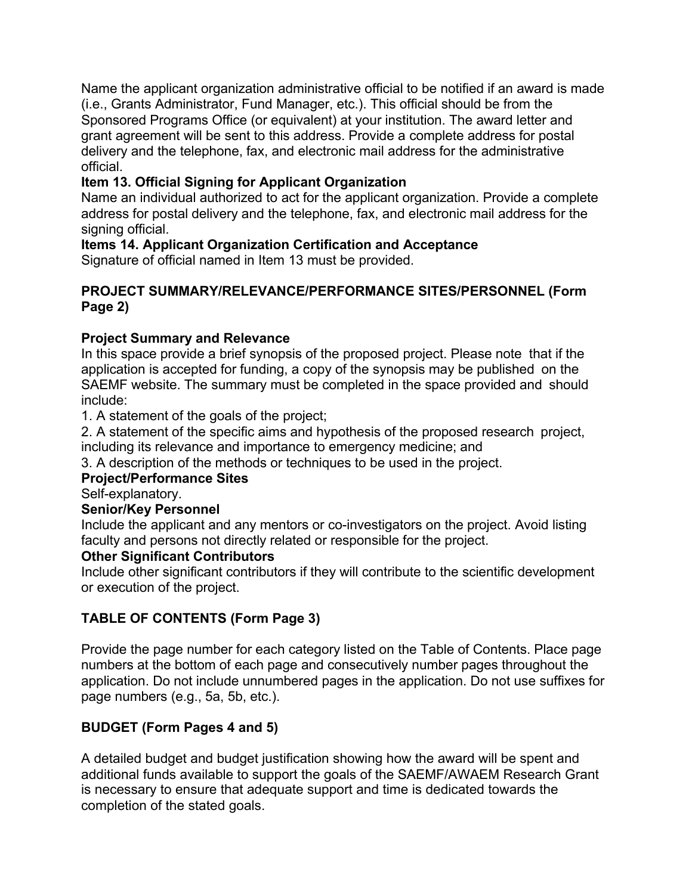Name the applicant organization administrative official to be notified if an award is made (i.e., Grants Administrator, Fund Manager, etc.). This official should be from the Sponsored Programs Office (or equivalent) at your institution. The award letter and grant agreement will be sent to this address. Provide a complete address for postal delivery and the telephone, fax, and electronic mail address for the administrative official.

# **Item 13. Official Signing for Applicant Organization**

Name an individual authorized to act for the applicant organization. Provide a complete address for postal delivery and the telephone, fax, and electronic mail address for the signing official.

# **Items 14. Applicant Organization Certification and Acceptance**

Signature of official named in Item 13 must be provided.

## **PROJECT SUMMARY/RELEVANCE/PERFORMANCE SITES/PERSONNEL (Form Page 2)**

# **Project Summary and Relevance**

In this space provide a brief synopsis of the proposed project. Please note that if the application is accepted for funding, a copy of the synopsis may be published on the SAEMF website. The summary must be completed in the space provided and should include:

1. A statement of the goals of the project;

2. A statement of the specific aims and hypothesis of the proposed research project, including its relevance and importance to emergency medicine; and

3. A description of the methods or techniques to be used in the project.

# **Project/Performance Sites**

Self-explanatory.

# **Senior/Key Personnel**

Include the applicant and any mentors or co-investigators on the project. Avoid listing faculty and persons not directly related or responsible for the project.

# **Other Significant Contributors**

Include other significant contributors if they will contribute to the scientific development or execution of the project.

# **TABLE OF CONTENTS (Form Page 3)**

Provide the page number for each category listed on the Table of Contents. Place page numbers at the bottom of each page and consecutively number pages throughout the application. Do not include unnumbered pages in the application. Do not use suffixes for page numbers (e.g., 5a, 5b, etc.).

# **BUDGET (Form Pages 4 and 5)**

A detailed budget and budget justification showing how the award will be spent and additional funds available to support the goals of the SAEMF/AWAEM Research Grant is necessary to ensure that adequate support and time is dedicated towards the completion of the stated goals.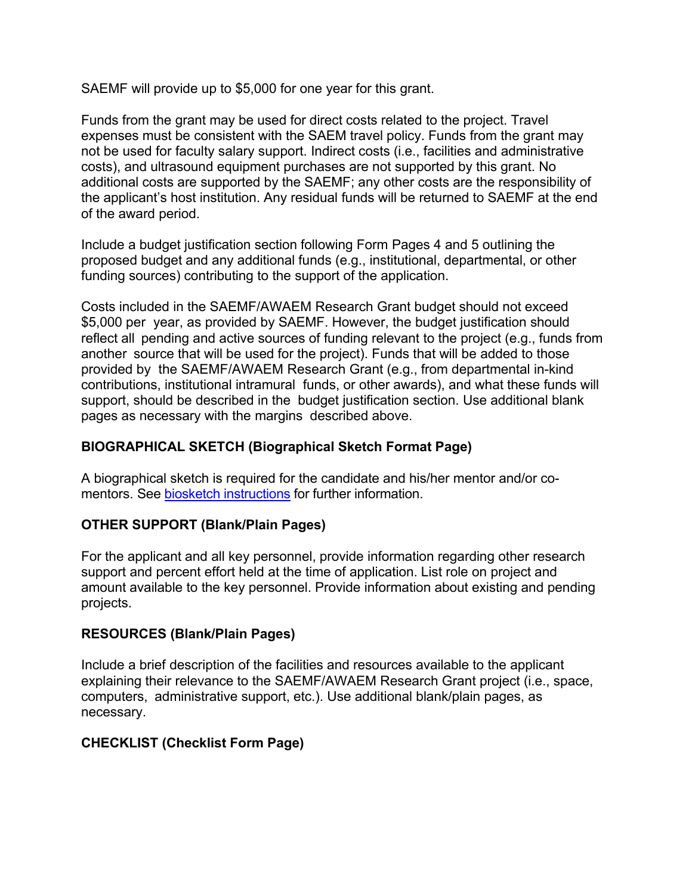SAEMF will provide up to \$5,000 for one year for this grant.

Funds from the grant may be used for direct costs related to the project. Travel expenses must be consistent with the SAEM travel policy. Funds from the grant may not be used for faculty salary support. Indirect costs (i.e., facilities and administrative costs), and ultrasound equipment purchases are not supported by this grant. No additional costs are supported by the SAEMF; any other costs are the responsibility of the applicant's host institution. Any residual funds will be returned to SAEMF at the end of the award period.

Include a budget justification section following Form Pages 4 and 5 outlining the proposed budget and any additional funds (e.g., institutional, departmental, or other funding sources) contributing to the support of the application.

Costs included in the SAEMF/AWAEM Research Grant budget should not exceed \$5,000 per year, as provided by SAEMF. However, the budget justification should reflect all pending and active sources of funding relevant to the project (e.g., funds from another source that will be used for the project). Funds that will be added to those provided by the SAEMF/AWAEM Research Grant (e.g., from departmental in-kind contributions, institutional intramural funds, or other awards), and what these funds will support, should be described in the budget justification section. Use additional blank pages as necessary with the margins described above.

# **BIOGRAPHICAL SKETCH (Biographical Sketch Format Page)**

A biographical sketch is required for the candidate and his/her mentor and/or comentors. See biosketch instructions for further information.

# **OTHER SUPPORT (Blank/Plain Pages)**

For the applicant and all key personnel, provide information regarding other research support and percent effort held at the time of application. List role on project and amount available to the key personnel. Provide information about existing and pending projects.

# **RESOURCES (Blank/Plain Pages)**

Include a brief description of the facilities and resources available to the applicant explaining their relevance to the SAEMF/AWAEM Research Grant project (i.e., space, computers, administrative support, etc.). Use additional blank/plain pages, as necessary.

# **CHECKLIST (Checklist Form Page)**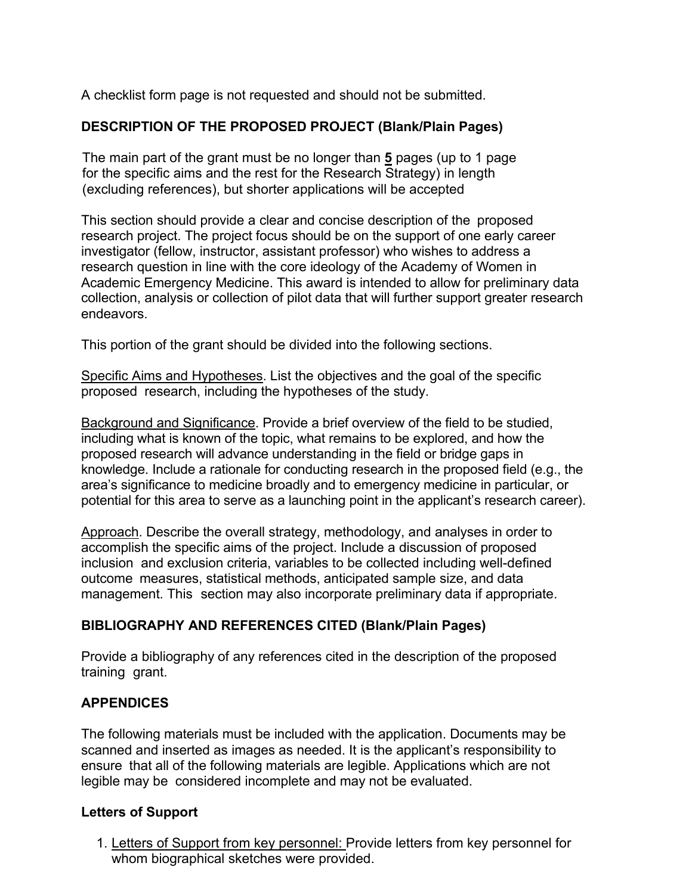A checklist form page is not requested and should not be submitted.

# **DESCRIPTION OF THE PROPOSED PROJECT (Blank/Plain Pages)**

The main part of the grant must be no longer than **5** pages (up to 1 page for the specific aims and the rest for the Research Strategy) in length (excluding references), but shorter applications will be accepted

This section should provide a clear and concise description of the proposed research project. The project focus should be on the support of one early career investigator (fellow, instructor, assistant professor) who wishes to address a research question in line with the core ideology of the Academy of Women in Academic Emergency Medicine. This award is intended to allow for preliminary data collection, analysis or collection of pilot data that will further support greater research endeavors.

This portion of the grant should be divided into the following sections.

Specific Aims and Hypotheses. List the objectives and the goal of the specific proposed research, including the hypotheses of the study.

Background and Significance. Provide a brief overview of the field to be studied, including what is known of the topic, what remains to be explored, and how the proposed research will advance understanding in the field or bridge gaps in knowledge. Include a rationale for conducting research in the proposed field (e.g., the area's significance to medicine broadly and to emergency medicine in particular, or potential for this area to serve as a launching point in the applicant's research career).

Approach. Describe the overall strategy, methodology, and analyses in order to accomplish the specific aims of the project. Include a discussion of proposed inclusion and exclusion criteria, variables to be collected including well-defined outcome measures, statistical methods, anticipated sample size, and data management. This section may also incorporate preliminary data if appropriate.

#### **BIBLIOGRAPHY AND REFERENCES CITED (Blank/Plain Pages)**

Provide a bibliography of any references cited in the description of the proposed training grant.

# **APPENDICES**

The following materials must be included with the application. Documents may be scanned and inserted as images as needed. It is the applicant's responsibility to ensure that all of the following materials are legible. Applications which are not legible may be considered incomplete and may not be evaluated.

#### **Letters of Support**

1. Letters of Support from key personnel: Provide letters from key personnel for whom biographical sketches were provided.